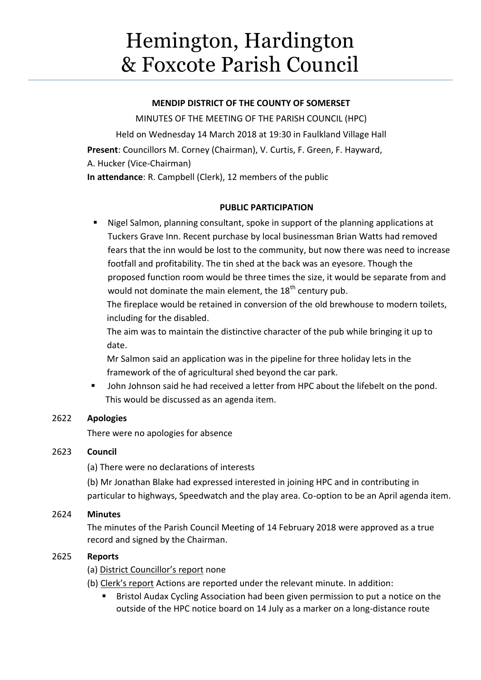# Hemington, Hardington & Foxcote Parish Council

# **MENDIP DISTRICT OF THE COUNTY OF SOMERSET**

MINUTES OF THE MEETING OF THE PARISH COUNCIL (HPC) Held on Wednesday 14 March 2018 at 19:30 in Faulkland Village Hall **Present**: Councillors M. Corney (Chairman), V. Curtis, F. Green, F. Hayward, A. Hucker (Vice-Chairman) **In attendance**: R. Campbell (Clerk), 12 members of the public

# **PUBLIC PARTICIPATION**

 Nigel Salmon, planning consultant, spoke in support of the planning applications at Tuckers Grave Inn. Recent purchase by local businessman Brian Watts had removed fears that the inn would be lost to the community, but now there was need to increase footfall and profitability. The tin shed at the back was an eyesore. Though the proposed function room would be three times the size, it would be separate from and would not dominate the main element, the  $18<sup>th</sup>$  century pub.

The fireplace would be retained in conversion of the old brewhouse to modern toilets, including for the disabled.

The aim was to maintain the distinctive character of the pub while bringing it up to date.

Mr Salmon said an application was in the pipeline for three holiday lets in the framework of the of agricultural shed beyond the car park.

 John Johnson said he had received a letter from HPC about the lifebelt on the pond. This would be discussed as an agenda item.

# 2622 **Apologies**

There were no apologies for absence

# 2623 **Council**

(a) There were no declarations of interests

(b) Mr Jonathan Blake had expressed interested in joining HPC and in contributing in particular to highways, Speedwatch and the play area. Co-option to be an April agenda item.

# 2624 **Minutes**

The minutes of the Parish Council Meeting of 14 February 2018 were approved as a true record and signed by the Chairman.

# 2625 **Reports**

- (a) District Councillor's report none
- (b) Clerk's report Actions are reported under the relevant minute. In addition:
	- Bristol Audax Cycling Association had been given permission to put a notice on the outside of the HPC notice board on 14 July as a marker on a long-distance route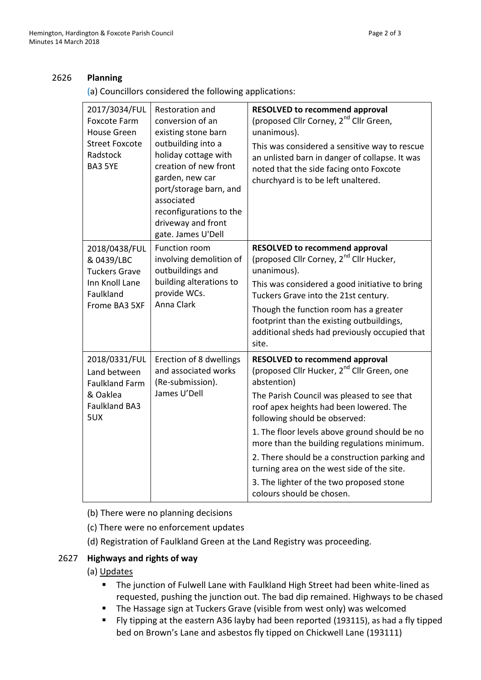#### 2626 **Planning**

(a) Councillors considered the following applications:

| 2017/3034/FUL<br><b>Foxcote Farm</b><br><b>House Green</b><br><b>Street Foxcote</b><br>Radstock<br><b>BA3 5YE</b> | Restoration and<br>conversion of an<br>existing stone barn<br>outbuilding into a<br>holiday cottage with<br>creation of new front<br>garden, new car<br>port/storage barn, and<br>associated<br>reconfigurations to the<br>driveway and front<br>gate. James U'Dell | <b>RESOLVED to recommend approval</b><br>(proposed Cllr Corney, 2 <sup>nd</sup> Cllr Green,<br>unanimous).<br>This was considered a sensitive way to rescue<br>an unlisted barn in danger of collapse. It was<br>noted that the side facing onto Foxcote<br>churchyard is to be left unaltered.                                                                                                                                                                                                                  |
|-------------------------------------------------------------------------------------------------------------------|---------------------------------------------------------------------------------------------------------------------------------------------------------------------------------------------------------------------------------------------------------------------|------------------------------------------------------------------------------------------------------------------------------------------------------------------------------------------------------------------------------------------------------------------------------------------------------------------------------------------------------------------------------------------------------------------------------------------------------------------------------------------------------------------|
| 2018/0438/FUL<br>& 0439/LBC<br><b>Tuckers Grave</b><br>Inn Knoll Lane<br>Faulkland<br>Frome BA3 5XF               | Function room<br>involving demolition of<br>outbuildings and<br>building alterations to<br>provide WCs.<br>Anna Clark                                                                                                                                               | <b>RESOLVED to recommend approval</b><br>(proposed Cllr Corney, 2 <sup>nd</sup> Cllr Hucker,<br>unanimous).<br>This was considered a good initiative to bring<br>Tuckers Grave into the 21st century.<br>Though the function room has a greater<br>footprint than the existing outbuildings,<br>additional sheds had previously occupied that<br>site.                                                                                                                                                           |
| 2018/0331/FUL<br>Land between<br><b>Faulkland Farm</b><br>& Oaklea<br><b>Faulkland BA3</b><br>5UX                 | Erection of 8 dwellings<br>and associated works<br>(Re-submission).<br>James U'Dell                                                                                                                                                                                 | <b>RESOLVED to recommend approval</b><br>(proposed Cllr Hucker, 2 <sup>nd</sup> Cllr Green, one<br>abstention)<br>The Parish Council was pleased to see that<br>roof apex heights had been lowered. The<br>following should be observed:<br>1. The floor levels above ground should be no<br>more than the building regulations minimum.<br>2. There should be a construction parking and<br>turning area on the west side of the site.<br>3. The lighter of the two proposed stone<br>colours should be chosen. |

(b) There were no planning decisions

(c) There were no enforcement updates

(d) Registration of Faulkland Green at the Land Registry was proceeding.

# 2627 **Highways and rights of way**

# (a) Updates

- **The junction of Fulwell Lane with Faulkland High Street had been white-lined as** requested, pushing the junction out. The bad dip remained. Highways to be chased
- **The Hassage sign at Tuckers Grave (visible from west only) was welcomed**
- Fly tipping at the eastern A36 layby had been reported (193115), as had a fly tipped bed on Brown's Lane and asbestos fly tipped on Chickwell Lane (193111)